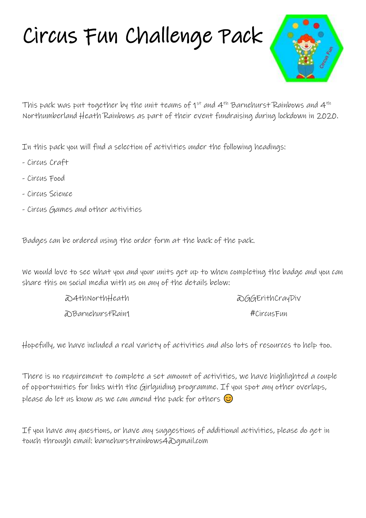# Circus Fun Challenge Pack



This pack was put together by the unit teams of  $1^{st}$  and  $4^{th}$  Barnehurst Rainbows and  $4^{th}$ Northumberland Heath Rainbows as part of their event fundraising during lockdown in 2020.

In this pack you will find a selection of activities under the following headings:

- Circus Craft
- Circus Food
- Circus Science
- Circus Games and other activities

Badges can be ordered using the order form at the back of the pack.

We would love to see what you and your units get up to when completing the badge and you can share this on social media with us on any of the details below:

| a)4+hNor+hHea+h  | a GGErithCrayDiv |
|------------------|------------------|
| aBarnehurstRain1 | #CircusFun       |

Hopefully, we have included a real variety of activities and also lots of resources to help too.

There is no requirement to complete a set amount of activities, we have highlighted a couple of opportunities for links with the Girlguiding programme. If you spot any other overlaps, please do let us know as we can amend the pack for others  $\circled{c}$ 

If you have any questions, or have any suggestions of additional activities, please do get in touch through email: barnehurstrainbows4@gmail.com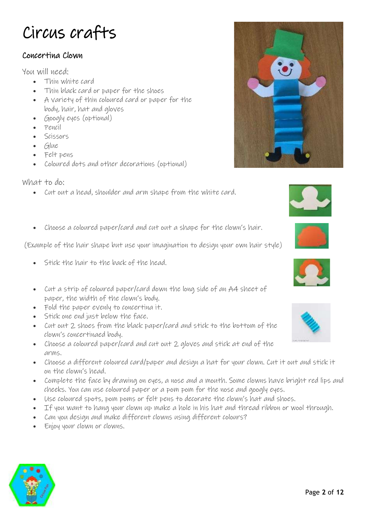# Circus crafts

### Concertina Clown

You will need:

- Thin white card
- Thin black card or paper for the shoes
- A variety of thin coloured card or paper for the body, hair, hat and gloves
- Googly eyes (optional)
- Pencil
- Scissors
- Glue
- Felt pens
- Coloured dots and other decorations (optional)

What to do:

- Cut out a head, shoulder and arm shape from the white card.
- Choose a coloured paper/card and cut out a shape for the clown's hair.

(Example of the hair shape but use your imagination to design your own hair style)

- Stick the hair to the back of the head.
- Cut a strip of coloured paper/card down the long side of an A4 sheet of paper, the width of the clown's body.
- Fold the paper evenly to concertina it.
- Stick one end just below the face.
- Cut out 2 shoes from the black paper/card and stick to the bottom of the clown's concertinaed body.
- Choose a coloured paper/card and cut out 2 gloves and stick at end of the arms.
- Choose a different coloured card/paper and design a hat for your clown. Cut it out and stick it on the clown's head.
- Complete the face by drawing on eyes, a nose and a mouth. Some clowns have bright red lips and cheeks. You can use coloured paper or a pom pom for the nose and googly eyes.
- Use coloured spots, pom poms or felt pens to decorate the clown's hat and shoes.
- If you want to hang your clown up make a hole in his hat and thread ribbon or wool through.
- Can you design and make different clowns using different colours?
- Enjoy your clown or clowns.











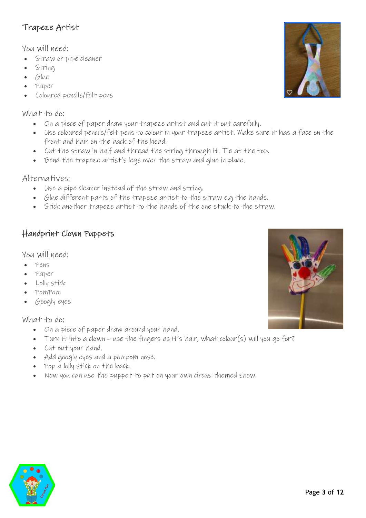# Trapeze Artist

You will need:

- Straw or pipe cleaner
- String
- Glue
- Paper
- Coloured pencils/felt pens

#### What to do:

- On a piece of paper draw your trapeze artist and cut it out carefully.
- Use coloured pencils/felt pens to colour in your trapeze artist. Make sure it has a face on the front and hair on the back of the head.
- Cut the straw in half and thread the string through it. Tie at the top.
- Bend the trapeze artist's legs over the straw and glue in place.

Alternatives:

- Use a pipe cleaner instead of the straw and string.
- Glue different parts of the trapeze artist to the straw e.g the hands.
- Stick another trapeze artist to the hands of the one stuck to the straw.

### Handprint Clown Puppets

You will need:

- Pens
- Paper
- Lolly stick
- PomPom
- Googly eyes

- On a piece of paper draw around your hand.
- Turn it into a clown use the fingers as it's hair, what colour(s) will you go for?
- Cut out your hand.
- Add googly eyes and a pompom nose.
- Pop a lolly stick on the back.
- Now you can use the puppet to put on your own circus themed show.





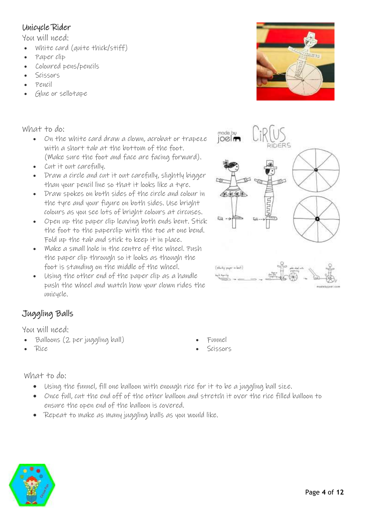# Unicycle Rider

You will need:

- White card (quite thick/stiff)
- Paper clip
- Coloured pens/pencils
- Scissors
- Pencil
- Glue or sellotape

What to do:

- On the white card draw a clown, acrobat or trapeze with a short tab at the bottom of the foot. (Make sure the foot and face are facing forward).
- Cut it out carefully.
- Draw a circle and cut it out carefully, slightly bigger than your pencil line so that it looks like a tyre.
- Draw spokes on both sides of the circle and colour in the tyre and your figure on both sides. Use bright colours as you see lots of bright colours at circuses.
- Open up the paper clip leaving both ends bent. Stick the foot to the paperclip with the toe at one bend. Fold up the tab and stick to keep it in place.
- Make a small hole in the centre of the wheel. Push the paper clip through so it looks as though the foot is standing on the middle of the wheel.
- Using the other end of the paper clip as a handle push the wheel and watch how your clown rides the unicycle.

# Juggling Balls

You will need:

- Balloons (2 per juggling ball)
- Rice
- Funnel
- Scissors

- Using the funnel, fill one balloon with enough rice for it to be a juggling ball size.
- Once full, cut the end off of the other balloon and stretch it over the rice filled balloon to ensure the open end of the balloon is covered.
- Repeat to make as many juggling balls as you would like.





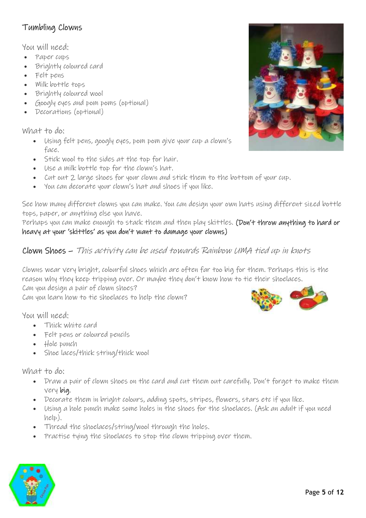# Tumbling Clowns

You will need:

- Paper cups
- Brightly coloured card
- Felt pens
- Milk bottle tops
- Brightly coloured wool
- Googly eyes and pom poms (optional)
- Decorations (optional)

What to do:

- Using felt pens, googly eyes, pom pom give your cup a clown's face.
- Stick wool to the sides at the top for hair.
- Use a milk bottle top for the clown's hat.
- Cut out 2 large shoes for your clown and stick them to the bottom of your cup.
- You can decorate your clown's hat and shoes if you like.

See how many different clowns you can make. You can design your own hats using different sized bottle tops, paper, or anything else you have.

Perhaps you can make enough to stack them and then play skittles. (Don't throw anything to hard or heavy at your 'skittles' as you don't want to damage your clowns)

### Clown Shoes – This activity can be used towards Rainbow UMA tied up in knots

Clowns wear very bright, colourful shoes which are often far too big for them. Perhaps this is the reason why they keep tripping over. Or maybe they don't know how to tie their shoelaces. Can you design a pair of clown shoes?

Can you learn how to tie shoelaces to help the clown?

You will need:

- Thick white card
- Felt pens or coloured pencils
- Hole punch
- Shoe laces/thick string/thick wool

- Draw a pair of clown shoes on the card and cut them out carefully. Don't forget to make them very big.
- Decorate them in bright colours, adding spots, stripes, flowers, stars etc if you like.
- Using a hole punch make some holes in the shoes for the shoelaces. (Ask an adult if you need help).
- Thread the shoelaces/string/wool through the holes.
- Practise tying the shoelaces to stop the clown tripping over them.





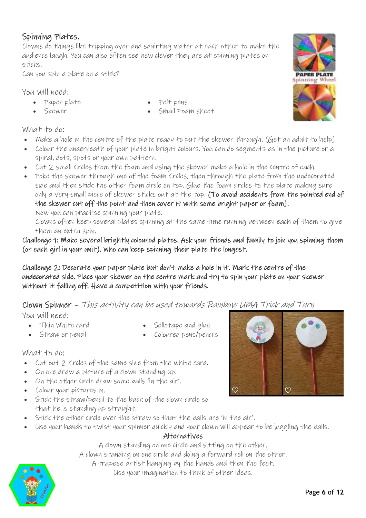### Spinning Plates.

Clowns do things like tripping over and squirting water at each other to make the audience laugh. You can also often see how clever they are at spinning plates on sticks.

Can you spin a plate on a stick?

You will need:

- Paper plate
- Skewer
- Felt pens
- Small Foam sheet

What to do:

- Make a hole in the centre of the plate ready to put the skewer through. (Get an adult to help).
- Colour the underneath of your plate in bright colours. You can do segments as in the picture or a spiral, dots, spots or your own pattern.
- Cut 2 small circles from the foam and using the skewer make a hole in the centre of each.
- Poke the skewer through one of the foam circles, then through the plate from the undecorated side and then stick the other foam circle on top. Glue the foam circles to the plate making sure only a very small piece of skewer sticks out at the top. (To avoid accidents from the pointed end of the skewer cut off the point and then cover it with some bright paper or foam). Now you can practise spinning your plate.

Clowns often keep several plates spinning at the same time running between each of them to give them an extra spin.

Challenge 1: Make several brightly coloured plates. Ask your friends and family to join you spinning them (or each girl in your unit). Who can keep spinning their plate the longest.

Challenge 2: Decorate your paper plate but don't make a hole in it. Mark the centre of the undecorated side. Place your skewer on the centre mark and try to spin your plate on your skewer without it falling off. Have a competition with your friends.

Clown Spinner – This activity can be used towards Rainbow UMA Trick and Turn

You will need:

- Sellotape and glue
- Thin White card • Straw or pencil
- 

• Coloured pens/pencils

What to do:

- Cut out 2 circles of the same size from the white card.
- On one draw a picture of a clown standing up.
- On the other circle draw some balls 'in the air'.
- Colour your pictures in.
- Stick the straw/pencil to the back of the clown circle so that he is standing up straight.
- Stick the other circle over the straw so that the balls are 'in the air'.
- Use your hands to twist your spinner quickly and your clown will appear to be juggling the balls.

### Alternatives

A clown standing on one circle and sitting on the other.

A clown standing on one circle and doing a forward roll on the other.

A trapeze artist hanging by the hands and then the feet.

Use your imagination to think of other ideas.





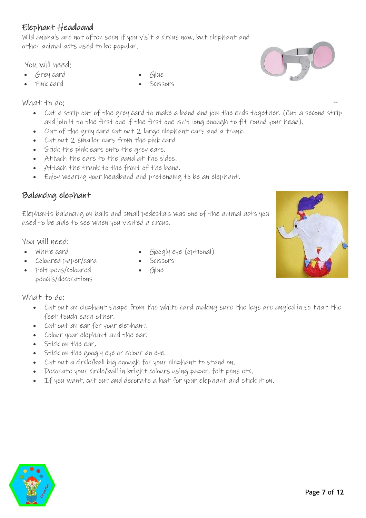# Elephant Headband

Wild animals are not often seen if you visit a circus now, but elephant and other animal acts used to be popular.

You will need:

- Grey card
- Pink card

#### What to do;

- Cut a strip out of the grey card to make a band and join the ends together. (Cut a second strip and join it to the first one if the first one isn't long enough to fit round your head).
- Out of the grey card cut out 2 large elephant ears and a trunk.
- Cut out 2 smaller ears from the pink card
- Stick the pink ears onto the grey ears.
- Attach the ears to the band at the sides.
- Attach the trunk to the front of the band.
- Enjoy wearing your headband and pretending to be an elephant.

### Balancing elephant

Elephants balancing on balls and small pedestals was one of the animal acts you used to be able to see when you visited a circus.

You will need:

- White card
- Coloured paper/card
- Felt pens/coloured pencils/decorations

- Cut out an elephant shape from the white card making sure the legs are angled in so that the feet touch each other.
- Cut out an ear for your elephant.
- Colour your elephant and the ear.
- Stick on the ear,
- Stick on the googly eye or colour an eye.
- Cut out a circle/ball big enough for your elephant to stand on.
- Decorate your circle/ball in bright colours using paper, felt pens etc.
- If you want, cut out and decorate a hat for your elephant and stick it on.





- Googly eye (optional)
- Scissors
- Glue
- Glue
- **Scissors**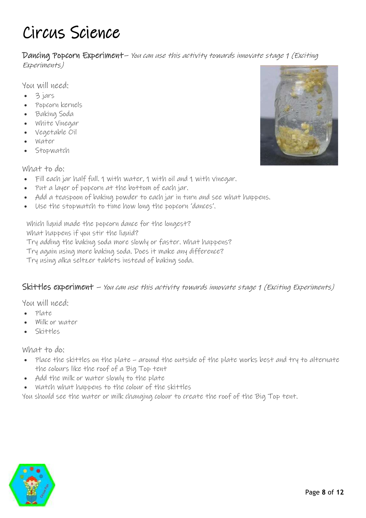# Circus Science

Dancing Popcorn Experiment– You can use this activity towards innovate stage 1 (Exciting Experiments)

You will need:

- 3 jars
- Popcorn kernels
- Baking Soda
- White Vinegar
- Vegetable Oil
- Water
- Stopwatch

What to do:

- Fill each jar half full. 1 with water, 1 with oil and 1 with vinegar.
- Put a layer of popcorn at the bottom of each jar.
- Add a teaspoon of baking powder to each jar in turn and see what happens.
- Use the stopwatch to time how long the popcorn 'dances'.

Which liquid made the popcorn dance for the longest? What happens if you stir the liquid?

Try adding the baking soda more slowly or faster. What happens?

Try again using more baking soda. Does it make any difference?

Try using alka seltzer tablets instead of baking soda.

### Skittles experiment – You can use this activity towards innovate stage 1 (Exciting Experiments)

You will need:

- Plate
- Milk or water
- Skittles

What to do:

- Place the skittles on the plate around the outside of the plate works best and try to alternate the colours like the roof of a Big Top tent
- Add the milk or water slowly to the plate
- Watch what happens to the colour of the skittles

You should see the water or milk changing colour to create the roof of the Big Top tent.



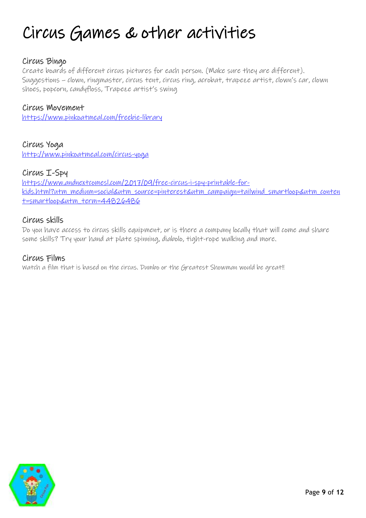# Circus Games & other activities

### Circus Bingo

Create boards of different circus pictures for each person. (Make sure they are different). Suggestions – clown, ringmaster, circus tent, circus ring, acrobat, trapeze artist, clown's car, clown shoes, popcorn, candyfloss, Trapeze artist's swing

#### Circus Movement

<https://www.pinkoatmeal.com/freebie-library>

Circus Yoga <http://www.pinkoatmeal.com/circus-yoga>

#### Circus I-Spy

[https://www.andnextcomesl.com/2017/09/free-circus-i-spy-printable-for](https://www.andnextcomesl.com/2017/09/free-circus-i-spy-printable-for-kids.html?utm_medium=social&utm_source=pinterest&utm_campaign=tailwind_smartloop&utm_content=smartloop&utm_term=44826486)[kids.html?utm\\_medium=social&utm\\_source=pinterest&utm\\_campaign=tailwind\\_smartloop&utm\\_conten](https://www.andnextcomesl.com/2017/09/free-circus-i-spy-printable-for-kids.html?utm_medium=social&utm_source=pinterest&utm_campaign=tailwind_smartloop&utm_content=smartloop&utm_term=44826486) [t=smartloop&utm\\_term=44826486](https://www.andnextcomesl.com/2017/09/free-circus-i-spy-printable-for-kids.html?utm_medium=social&utm_source=pinterest&utm_campaign=tailwind_smartloop&utm_content=smartloop&utm_term=44826486)

### Circus skills

Do you have access to circus skills equipment, or is there a company locally that will come and share some skills? Try your hand at plate spinning, diabolo, tight-rope walking and more.

#### Circus Films

Watch a film that is based on the circus. Dumbo or the Greatest Showman would be great!!

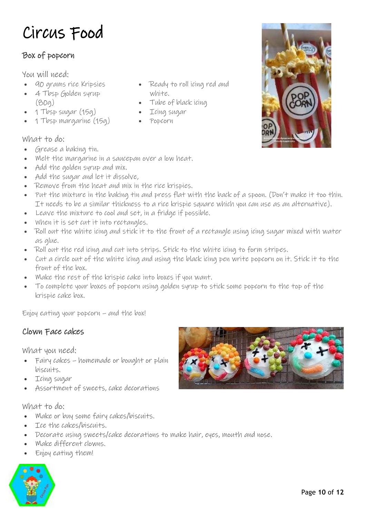# Circus Food

# Box of popcorn

You will need:

- 90 grams rice Kripsies
- 4 Tbsp Golden syrup (80g)
- 1 Tbsp sugar (15g)
- 1 Tbsp margarine (15g)
- What to do:
- Grease a baking tin.
- Melt the margarine in a saucepan over a low heat.
- Add the golden syrup and mix.
- Add the sugar and let it dissolve,
- Remove from the heat and mix in the rice krispies.
- Put the mixture in the baking tin and press flat with the back of a spoon. (Don't make it too thin. It needs to be a similar thickness to a rice krispie square which you can use as an alternative).
- Leave the mixture to cool and set, in a fridge if possible.
- When it is set cut it into rectangles.
- Roll out the white icing and stick it to the front of a rectangle using icing sugar mixed with water as glue.
- Roll out the red icing and cut into strips. Stick to the white icing to form stripes.

• Icing sugar • Popcorn

- Cut a circle out of the white icing and using the black icing pen write popcorn on it. Stick it to the front of the box.
- Make the rest of the krispie cake into boxes if you want.
- To complete your boxes of popcorn using golden syrup to stick some popcorn to the top of the krispie cake box.

Enjoy eating your popcorn – and the box!

### Clown Face cakes

What you need:

- Fairy cakes homemade or bought or plain biscuits.
- Icing sugar
- Assortment of sweets, cake decorations

- Make or buy some fairy cakes/biscuits.
- Ice the cakes/biscuits.
- Decorate using sweets/cake decorations to make hair, eyes, mouth and nose.
- Make different clowns.
- Enjoy eating them!





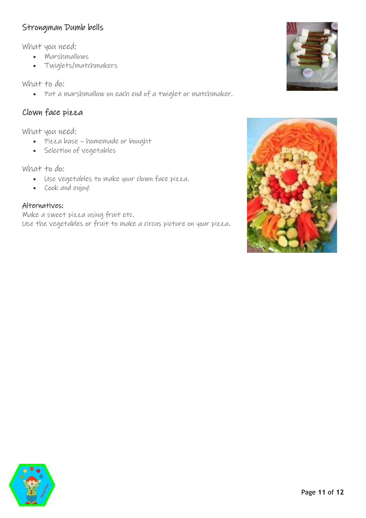### Strongman Dumb bells

What you need:

- Marshmallows
- Twiglets/matchmakers

What to do:

• Put a marshmallow on each end of a twiglet or matchmaker.

# Clown face pizza

What you need:

- Pizza base homemade or bought
- Selection of vegetables

What to do:

- Use vegetables to make your clown face pizza.
- Cook and enjoy!

### Alternatives:

Make a sweet pizza using fruit etc. Use the vegetables or fruit to make a circus picture on your pizza.